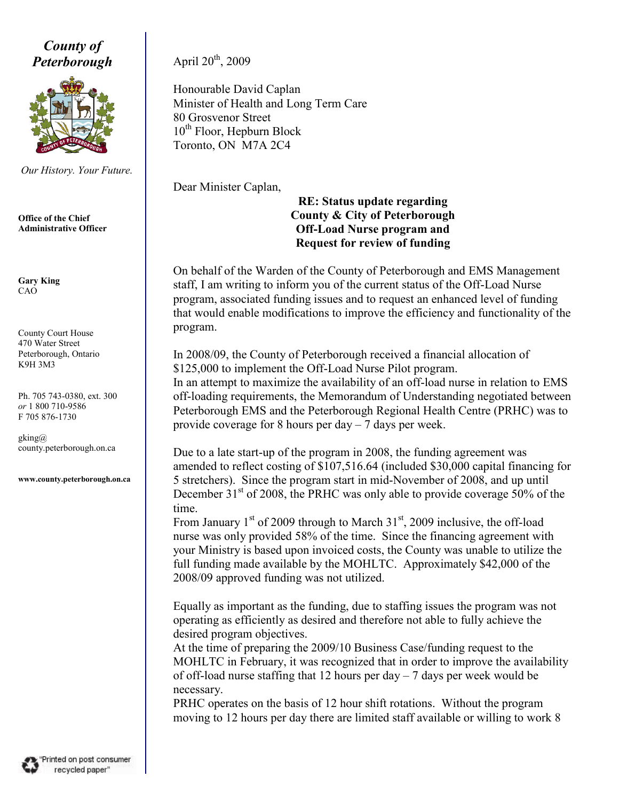County of **Peterborough** April  $20^{th}$ , 2009



Our History. Your Future.

Office of the Chief Administrative Officer

Gary King CAO

County Court House 470 Water Street Peterborough, Ontario K9H 3M3

Ph. 705 743-0380, ext. 300 or 1 800 710-9586 F 705 876-1730

gking@ county.peterborough.on.ca

www.county.peterborough.on.ca

Honourable David Caplan Minister of Health and Long Term Care 80 Grosvenor Street  $10^{th}$  Floor, Hepburn Block Toronto, ON M7A 2C4

Dear Minister Caplan,

## RE: Status update regarding County & City of Peterborough Off-Load Nurse program and Request for review of funding

On behalf of the Warden of the County of Peterborough and EMS Management staff, I am writing to inform you of the current status of the Off-Load Nurse program, associated funding issues and to request an enhanced level of funding that would enable modifications to improve the efficiency and functionality of the program.

In 2008/09, the County of Peterborough received a financial allocation of \$125,000 to implement the Off-Load Nurse Pilot program. In an attempt to maximize the availability of an off-load nurse in relation to EMS

off-loading requirements, the Memorandum of Understanding negotiated between Peterborough EMS and the Peterborough Regional Health Centre (PRHC) was to provide coverage for 8 hours per day – 7 days per week.

Due to a late start-up of the program in 2008, the funding agreement was amended to reflect costing of \$107,516.64 (included \$30,000 capital financing for 5 stretchers). Since the program start in mid-November of 2008, and up until December  $31<sup>st</sup>$  of 2008, the PRHC was only able to provide coverage 50% of the time.

From January  $1<sup>st</sup>$  of 2009 through to March  $31<sup>st</sup>$ , 2009 inclusive, the off-load nurse was only provided 58% of the time. Since the financing agreement with your Ministry is based upon invoiced costs, the County was unable to utilize the full funding made available by the MOHLTC. Approximately \$42,000 of the 2008/09 approved funding was not utilized.

Equally as important as the funding, due to staffing issues the program was not operating as efficiently as desired and therefore not able to fully achieve the desired program objectives.

At the time of preparing the 2009/10 Business Case/funding request to the MOHLTC in February, it was recognized that in order to improve the availability of off-load nurse staffing that 12 hours per day  $-7$  days per week would be necessary.

PRHC operates on the basis of 12 hour shift rotations. Without the program moving to 12 hours per day there are limited staff available or willing to work 8